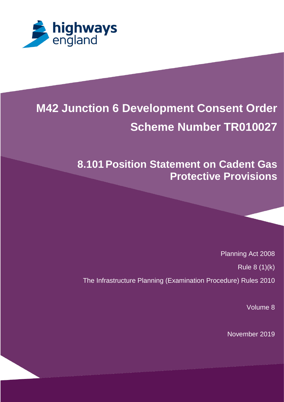

# **M42 Junction 6 Development Consent Order Scheme Number TR010027**

## **8.101Position Statement on Cadent Gas Protective Provisions**

Planning Act 2008

Rule 8 (1)(k)

The Infrastructure Planning (Examination Procedure) Rules 2010

Volume 8

November 2019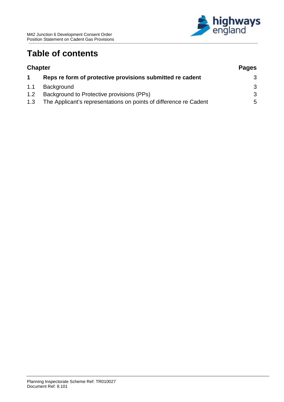

### **Table of contents**

| <b>Chapter</b> |                                                                   | <b>Pages</b> |
|----------------|-------------------------------------------------------------------|--------------|
|                | Reps re form of protective provisions submitted re cadent         | 3            |
| 1.1            | Background                                                        | 3            |
| 1.2            | Background to Protective provisions (PPs)                         | -3           |
| 1.3            | The Applicant's representations on points of difference re Cadent | .5           |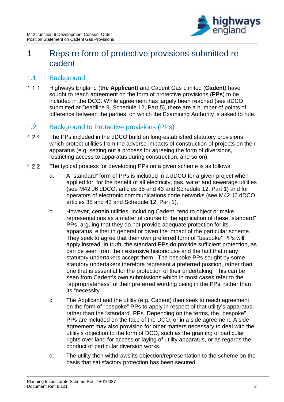

### <span id="page-2-0"></span>1 Reps re form of protective provisions submitted re cadent

#### <span id="page-2-1"></span>1.1 Background

 $1.1.1$ Highways England (**the Applicant**) and Cadent Gas Limited (**Cadent**) have sought to reach agreement on the form of protective provisions (**PPs**) to be included in the DCO. While agreement has largely been reached (see dDCO submitted at Deadline 9, Schedule 12, Part 5), there are a number of points of difference between the parties, on which the Examining Authority is asked to rule.

#### <span id="page-2-2"></span>1.2 Background to Protective provisions (PPs)

- $1.2.1$ The PPs included in the dDCO build on long-established statutory provisions which protect utilities from the adverse impacts of construction of projects on their apparatus (e.g. setting out a process for agreeing the form of diversions, restricting access to apparatus during construction, and so on).
- $1.2.2$ The typical process for developing PPs on a given scheme is as follows:
	- a. A "standard" form of PPs is included in a dDCO for a given project when applied for, for the benefit of all electricity, gas, water and sewerage utilities (see M42 J6 dDCO, articles 35 and 43 and Schedule 12, Part 1) and for operators of electronic communications code networks (see M42 J6 dDCO, articles 35 and 43 and Schedule 12, Part 1).
	- b. However, certain utilities, including Cadent, tend to object or make representations as a matter of course to the application of these "standard" PPs, arguing that they do not provide adequate protection for its apparatus, either in general or given the impact of the particular scheme. They seek to agree that their own preferred form of "bespoke" PPs will apply instead. In truth, the standard PPs do provide sufficient protection, as can be seen from their extensive historic use and the fact that many statutory undertakers accept them. The bespoke PPs sought by some statutory undertakers therefore represent a preferred position, rather than one that is essential for the protection of their undertaking. This can be seen from Cadent's own submissions which in most cases refer to the "appropriateness" of their preferred wording being in the PPs, rather than its "necessity".
	- c. The Applicant and the utility (e.g. Cadent) then seek to reach agreement on the form of "bespoke" PPs to apply in respect of that utility's apparatus, rather than the "standard" PPs. Depending on the terms, the "bespoke" PPs are included on the face of the DCO, or in a side agreement. A side agreement may also provision for other matters necessary to deal with the utility's objection to the form of DCO, such as the granting of particular rights over land for access or laying of utility apparatus, or as regards the conduct of particular diversion works.
	- d. The utility then withdraws its objection/representation to the scheme on the basis that satisfactory protection has been secured.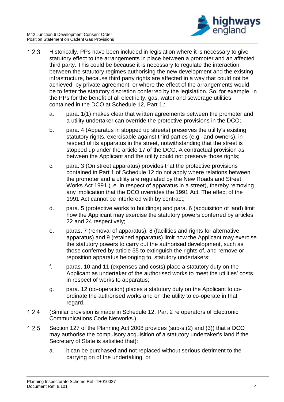

- $1.2.3$ Historically, PPs have been included in legislation where it is necessary to give statutory effect to the arrangements in place between a promoter and an affected third party. This could be because it is necessary to regulate the interaction between the statutory regimes authorising the new development and the existing infrastructure, because third party rights are affected in a way that could not be achieved, by private agreement, or where the effect of the arrangements would be to fetter the statutory discretion conferred by the legislation. So, for example, in the PPs for the benefit of all electricity, gas, water and sewerage utilities contained in the DCO at Schedule 12, Part 1,:
	- a. para. 1(1) makes clear that written agreements between the promoter and a utility undertaker can override the protective provisions in the DCO;
	- b. para. 4 (Apparatus in stopped up streets) preserves the utility's existing statutory rights, exercisable against third parties (e.g. land owners), in respect of its apparatus in the street, notwithstanding that the street is stopped up under the article 17 of the DCO. A contractual provision as between the Applicant and the utility could not preserve those rights:
	- c. para. 3 (On street apparatus) provides that the protective provisions contained in Part 1 of Schedule 12 do not apply where relations between the promoter and a utility are regulated by the New Roads and Street Works Act 1991 (i.e. in respect of apparatus in a street), thereby removing any implication that the DCO overrides the 1991 Act. The effect of the 1991 Act cannot be interfered with by contract;
	- d. para. 5 (protective works to buildings) and para. 6 (acquisition of land) limit how the Applicant may exercise the statutory powers conferred by articles 22 and 24 respectively;
	- e. paras. 7 (removal of apparatus), 8 (facilities and rights for alternative apparatus) and 9 (retained apparatus) limit how the Applicant may exercise the statutory powers to carry out the authorised development, such as those conferred by article 35 to extinguish the rights of, and remove or reposition apparatus belonging to, statutory undertakers;
	- f. paras. 10 and 11 (expenses and costs) place a statutory duty on the Applicant as undertaker of the authorised works to meet the utilities' costs in respect of works to apparatus;
	- g. para. 12 (co-operation) places a statutory duty on the Applicant to coordinate the authorised works and on the utility to co-operate in that regard.
- $1.2.4$ (Similar provision is made in Schedule 12, Part 2 re operators of Electronic Communications Code Networks.)
- $1.2.5$ Section 127 of the Planning Act 2008 provides (sub-s.(2) and (3)) that a DCO may authorise the compulsory acquisition of a statutory undertaker's land if the Secretary of State is satisfied that):
	- a. it can be purchased and not replaced without serious detriment to the carrying on of the undertaking, or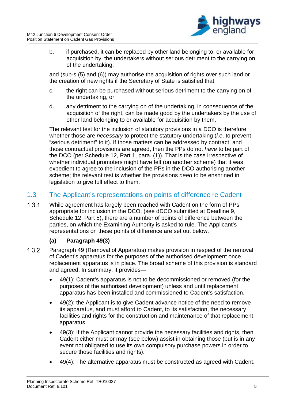

b. if purchased, it can be replaced by other land belonging to, or available for acquisition by, the undertakers without serious detriment to the carrying on of the undertaking;

and (sub-s.(5) and (6)) may authorise the acquisition of rights over such land or the creation of new rights if the Secretary of State is satisfied that:

- c. the right can be purchased without serious detriment to the carrying on of the undertaking, or
- d. any detriment to the carrying on of the undertaking, in consequence of the acquisition of the right, can be made good by the undertakers by the use of other land belonging to or available for acquisition by them.

The relevant test for the inclusion of statutory provisions in a DCO is therefore whether those are *necessary* to protect the statutory undertaking (*i.e*. to prevent "serious detriment" to it). If those matters can be addressed by contract, and those contractual provisions are agreed, then the PPs do not *have* to be part of the DCO (per Schedule 12, Part 1, para. (1)). That is the case irrespective of whether individual promoters might have felt (on another scheme) that it was expedient to agree to the inclusion of the PPs in the DCO authorising another scheme; the relevant test is whether the provisions *need* to be enshrined in legislation to give full effect to them.

#### <span id="page-4-0"></span>1.3 The Applicant's representations on points of difference re Cadent

 $1.3.1$ While agreement has largely been reached with Cadent on the form of PPs appropriate for inclusion in the DCO, (see dDCO submitted at Deadline 9, Schedule 12, Part 5), there are a number of points of difference between the parties, on which the Examining Authority is asked to rule. The Applicant's representations on these points of difference are set out below.

#### **(a) Paragraph 49(3)**

- $1.3.2$ Paragraph 49 (Removal of Apparatus) makes provision in respect of the removal of Cadent's apparatus for the purposes of the authorised development once replacement apparatus is in place. The broad scheme of this provision is standard and agreed. In summary, it provides—
	- 49(1): Cadent's apparatus is not to be decommissioned or removed (for the purposes of the authorised development) unless and until replacement apparatus has been installed and commissioned to Cadent's satisfaction.
	- 49(2): the Applicant is to give Cadent advance notice of the need to remove its apparatus, and must afford to Cadent, to its satisfaction, the necessary facilities and rights for the construction and maintenance of that replacement apparatus.
	- 49(3): If the Applicant cannot provide the necessary facilities and rights, then Cadent either must or may (see below) assist in obtaining those (but is in any event not obligated to use its own compulsory purchase powers in order to secure those facilities and rights).
	- 49(4): The alternative apparatus must be constructed as agreed with Cadent.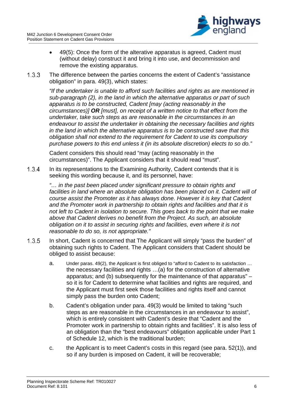

- 49(5): Once the form of the alterative apparatus is agreed, Cadent must (without delay) construct it and bring it into use, and decommission and remove the existing apparatus.
- $1.3.3$ The difference between the parties concerns the extent of Cadent's "assistance obligation" in para. 49(3), which states:

*"If the undertaker is unable to afford such facilities and rights as are mentioned in sub-paragraph (2), in the land in which the alternative apparatus or part of such apparatus is to be constructed, Cadent [may (acting reasonably in the circumstances)] OR [must], on receipt of a written notice to that effect from the undertaker, take such steps as are reasonable in the circumstances in an endeavour to assist the undertaker in obtaining the necessary facilities and rights in the land in which the alternative apparatus is to be constructed save that this obligation shall not extend to the requirement for Cadent to use its compulsory purchase powers to this end unless it (in its absolute discretion) elects to so do."*

Cadent considers this should read "may (acting reasonably in the circumstances)". The Applicant considers that it should read "must".

 $1.3.4$ In its representations to the Examining Authority, Cadent contends that it is seeking this wording because it, and its personnel, have:

> *"… in the past been placed under significant pressure to obtain rights and facilities in land where an absolute obligation has been placed on it. Cadent will of course assist the Promoter as it has always done. However it is key that Cadent and the Promoter work in partnership to obtain rights and facilities and that it is not left to Cadent in isolation to secure. This goes back to the point that we make above that Cadent derives no benefit from the Project. As such, an absolute obligation on it to assist in securing rights and facilities, even where it is not reasonable to do so, is not appropriate."*

- $1.3.5$ In short, Cadent is concerned that The Applicant will simply "pass the burden" of obtaining such rights to Cadent. The Applicant considers that Cadent should be obliged to assist because:
	- a. Under paras. 49(2), the Applicant is first obliged to "afford to Cadent to its satisfaction … the necessary facilities and rights …(a) for the construction of alternative apparatus; and (b) subsequently for the maintenance of that apparatus" – so it is for Cadent to determine what facilities and rights are required, and the Applicant must first seek those facilities and rights itself and cannot simply pass the burden onto Cadent;
	- b. Cadent's obligation under para. 49(3) would be limited to taking "such steps as are reasonable in the circumstances in an endeavour to assist", which is entirely consistent with Cadent's desire that "Cadent and the Promoter work in partnership to obtain rights and facilities". It is also less of an obligation than the "best endeavours" obligation applicable under Part 1 of Schedule 12, which is the traditional burden;
	- c. the Applicant is to meet Cadent's costs in this regard (see para. 52(1)), and so if any burden is imposed on Cadent, it will be recoverable;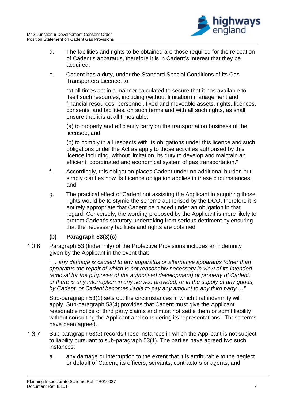

- d. The facilities and rights to be obtained are those required for the relocation of Cadent's apparatus, therefore it is in Cadent's interest that they be acquired;
- e. Cadent has a duty, under the Standard Special Conditions of its Gas Transporters Licence, to:

"at all times act in a manner calculated to secure that it has available to itself such resources, including (without limitation) management and financial resources, personnel, fixed and moveable assets, rights, licences, consents, and facilities, on such terms and with all such rights, as shall ensure that it is at all times able:

(a) to properly and efficiently carry on the transportation business of the licensee; and

(b) to comply in all respects with its obligations under this licence and such obligations under the Act as apply to those activities authorised by this licence including, without limitation, its duty to develop and maintain an efficient, coordinated and economical system of gas transportation."

- f. Accordingly, this obligation places Cadent under no additional burden but simply clarifies how its Licence obligation applies in these circumstances; and
- g. The practical effect of Cadent not assisting the Applicant in acquiring those rights would be to stymie the scheme authorised by the DCO, therefore it is entirely appropriate that Cadent be placed under an obligation in that regard. Conversely, the wording proposed by the Applicant is more likely to protect Cadent's statutory undertaking from serious detriment by ensuring that the necessary facilities and rights are obtained.

#### **(b) Paragraph 53(3)(c)**

 $1.3.6$ Paragraph 53 (Indemnity) of the Protective Provisions includes an indemnity given by the Applicant in the event that:

> *"… any damage is caused to any apparatus or alternative apparatus (other than apparatus the repair of which is not reasonably necessary in view of its intended removal for the purposes of the authorised development) or property of Cadent, or there is any interruption in any service provided, or in the supply of any goods, by Cadent, or Cadent becomes liable to pay any amount to any third party …"*

Sub-paragraph 53(1) sets out the circumstances in which that indemnity will apply. Sub-paragraph 53(4) provides that Cadent must give the Applicant reasonable notice of third party claims and must not settle them or admit liability without consulting the Applicant and considering its representations. These terms have been agreed.

- $1.3.7$ Sub-paragraph 53(3) records those instances in which the Applicant is not subject to liability pursuant to sub-paragraph 53(1). The parties have agreed two such instances:
	- a. any damage or interruption to the extent that it is attributable to the neglect or default of Cadent, its officers, servants, contractors or agents; and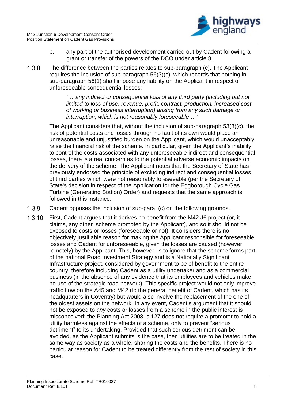

- b. any part of the authorised development carried out by Cadent following a grant or transfer of the powers of the DCO under article 8.
- $1.3.8$ The difference between the parties relates to sub-paragraph (c). The Applicant requires the inclusion of sub-paragraph 56(3)(c), which records that nothing in sub-paragraph 56(1) shall impose any liability on the Applicant in respect of unforeseeable consequential losses:

*"… any indirect or consequential loss of any third party (including but not limited to loss of use, revenue, profit, contract, production, increased cost of working or business interruption) arising from any such damage or interruption, which is not reasonably foreseeable …"*

The Applicant considers that, without the inclusion of sub-paragraph 53(3)(c), the risk of potential costs and losses through no fault of its own would place an unreasonable and unjustified burden on the Applicant, which would unacceptably raise the financial risk of the scheme. In particular, given the Applicant's inability to control the costs associated with any unforeseeable indirect and consequential losses, there is a real concern as to the potential adverse economic impacts on the delivery of the scheme. The Applicant notes that the Secretary of State has previously endorsed the principle of excluding indirect and consequential losses of third parties which were not reasonably foreseeable (per the Secretary of State's decision in respect of the Application for the Eggborough Cycle Gas Turbine (Generating Station) Order) and requests that the same approach is followed in this instance.

- $1.3.9$ Cadent opposes the inclusion of sub-para. (c) on the following grounds.
- $1.3.10$ First, Cadent argues that it derives no benefit from the M42 J6 project (or, it claims, any other scheme promoted by the Applicant), and so it should not be exposed to costs or losses (foreseeable or not). It considers there is no objectively justifiable reason for making the Applicant responsible for foreseeable losses and Cadent for unforeseeable, given the losses are caused (however remotely) by the Applicant. This, however, is to ignore that the scheme forms part of the national Road Investment Strategy and is a Nationally Significant Infrastructure project, considered by government to be of benefit to the entire country, therefore including Cadent as a utility undertaker and as a commercial business (in the absence of any evidence that its employees and vehicles make no use of the strategic road network). This specific project would not only improve traffic flow on the A45 and M42 (to the general benefit of Cadent, which has its headquarters in Coventry) but would also involve the replacement of the one of the oldest assets on the network. In any event, Cadent's argument that it should not be exposed to *any* costs or losses from a scheme in the public interest is misconceived: the Planning Act 2008, s.127 does not require a promoter to hold a utility harmless against the effects of a scheme, only to prevent "serious detriment" to its undertaking. Provided that such serious detriment can be avoided, as the Applicant submits is the case, then utilities are to be treated in the same way as society as a whole, sharing the costs and the benefits. There is no particular reason for Cadent to be treated differently from the rest of society in this case.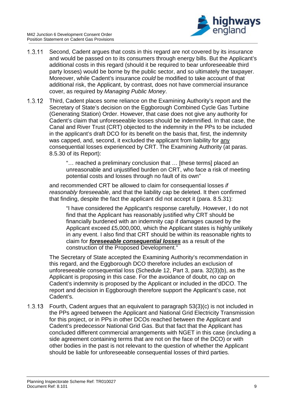

- $1.3.11$ Second, Cadent argues that costs in this regard are not covered by its insurance and would be passed on to its consumers through energy bills. But the Applicant's additional costs in this regard (should it be required to bear unforeseeable third party losses) would be borne by the public sector, and so ultimately the taxpayer. Moreover, while Cadent's insurance *could* be modified to take account of that additional risk, the Applicant, by contrast, does not have commercial insurance cover, as required by *Managing Public Money*.
- $1.3.12$ Third, Cadent places some reliance on the Examining Authority's report and the Secretary of State's decision on the Eggborough Combined Cycle Gas Turbine (Generating Station) Order. However, that case does not give any authority for Cadent's claim that unforeseeable losses should be indemnified. In that case, the Canal and River Trust (CRT) objected to the indemnity in the PPs to be included in the applicant's draft DCO for its benefit on the basis that, first, the indemnity was capped, and, second, it excluded the applicant from liability for any consequential losses experienced by CRT. The Examining Authority (at paras. 8.5.30 of its Report):

"… reached a preliminary conclusion that … [these terms] placed an unreasonable and unjustified burden on CRT, who face a risk of meeting potential costs and losses through no fault of its own"

and recommended CRT be allowed to claim for consequential losses *if reasonably foreseeable*, and that the liability cap be deleted. It then confirmed that finding, despite the fact the applicant did not accept it (para. 8.5.31):

"I have considered the Applicant's response carefully. However, I do not find that the Applicant has reasonably justified why CRT should be financially burdened with an indemnity cap if damages caused by the Applicant exceed £5,000,000, which the Applicant states is highly unlikely in any event. I also find that CRT should be within its reasonable rights to claim for *foreseeable consequential losses* as a result of the construction of the Proposed Development."

The Secretary of State accepted the Examining Authority's recommendation in this regard, and the Eggborough DCO therefore includes an exclusion of unforeseeable consequential loss (Schedule 12, Part 3, para. 32(3)(b), as the Applicant is proposing in this case. For the avoidance of doubt, no cap on Cadent's indemnity is proposed by the Applicant or included in the dDCO. The report and decision in Eggborough therefore support the Applicant's case, not Cadent's.

Fourth, Cadent argues that an equivalent to paragraph 53(3)(c) is not included in  $1.3.13$ the PPs agreed between the Applicant and National Grid Electricity Transmission for this project, or in PPs in other DCOs reached between the Applicant and Cadent's predecessor National Grid Gas. But that fact that the Applicant has concluded different commercial arrangements with NGET in this case (including a side agreement containing terms that are not on the face of the DCO) or with other bodies in the past is not relevant to the question of whether the Applicant should be liable for unforeseeable consequential losses of third parties.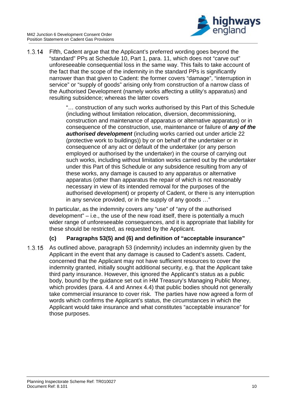

 $1.3.14$ Fifth, Cadent argue that the Applicant's preferred wording goes beyond the "standard" PPs at Schedule 10, Part 1, para. 11, which does not "carve out" unforeseeable consequential loss in the same way. This fails to take account of the fact that the scope of the indemnity in the standard PPs is significantly narrower than that given to Cadent: the former covers "damage", "interruption in service" or "supply of goods" arising only from construction of a narrow class of the Authorised Development (namely works affecting a utility's apparatus) and resulting subsidence; whereas the latter covers

> "… construction of any such works authorised by this Part of this Schedule (including without limitation relocation, diversion, decommissioning, construction and maintenance of apparatus or alternative apparatus) or in consequence of the construction, use, maintenance or failure of *any of the authorised development* (including works carried out under article 22 (protective work to buildings)) by or on behalf of the undertaker or in consequence of any act or default of the undertaker (or any person employed or authorised by the undertaker) in the course of carrying out such works, including without limitation works carried out by the undertaker under this Part of this Schedule or any subsidence resulting from any of these works, any damage is caused to any apparatus or alternative apparatus (other than apparatus the repair of which is not reasonably necessary in view of its intended removal for the purposes of the authorised development) or property of Cadent, or there is any interruption in any service provided, or in the supply of any goods …"

In particular, as the indemnity covers any "use" of "any of the authorised development" – i.e., the use of the new road itself, there is potentially a much wider range of unforeseeable consequences, and it is appropriate that liability for these should be restricted, as requested by the Applicant.

#### **(c) Paragraphs 53(5) and (6) and definition of "acceptable insurance"**

 $1.3.15$ As outlined above, paragraph 53 (indemnity) includes an indemnity given by the Applicant in the event that any damage is caused to Cadent's assets. Cadent, concerned that the Applicant may not have sufficient resources to cover the indemnity granted, initially sought additional security, e.g. that the Applicant take third party insurance. However, this ignored the Applicant's status as a public body, bound by the guidance set out in HM Treasury's Managing Public Money, which provides (para. 4.4 and Annex 4.4) that public bodies should not generally take commercial insurance to cover risk. The parties have now agreed a form of words which confirms the Applicant's status, the circumstances in which the Applicant would take insurance and what constitutes "acceptable insurance" for those purposes.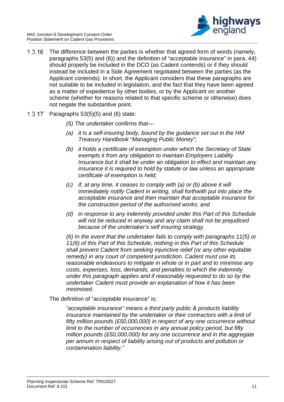

- $1.3.16$ The difference between the parties is whether that agreed form of words (namely, paragraphs 53(5) and (6)) and the definition of "acceptable insurance" in para. 44) should properly be included in the DCO (as Cadent contends) or if they should instead be included in a Side Agreement negotiated between the parties (as the Applicant contends). In short, the Applicant considers that these paragraphs are not suitable to be included in legislation, and the fact that they have been agreed as a matter of expedience by other bodies, or by the Applicant on another scheme (whether for reasons related to that specific scheme or otherwise) does not negate the substantive point.
- Paragraphs 53(5)(5) and (6) state:  $1.3.17$ 
	- *(5) The undertaker confirms that—*
	- *(a) it is a self-insuring body, bound by the guidance set out in the HM Treasury Handbook "Managing Public Money";*
	- *(b) it holds a certificate of exemption under which the Secretary of State exempts it from any obligation to maintain Employers Liability Insurance but it shall be under an obligation to effect and maintain any insurance it is required to hold by statute or law unless an appropriate certificate of exemption is held;*
	- *(c) if, at any time, it ceases to comply with (a) or (b) above it will immediately notify Cadent in writing, shall forthwith put into place the acceptable insurance and then maintain that acceptable insurance for the construction period of the authorised works; and*
	- *(d) in response to any indemnity provided under this Part of this Schedule will not be reduced in anyway and any claim shall not be prejudiced because of the undertaker's self insuring strategy.*

*(6) In the event that the undertaker fails to comply with paragraphs 11(5) or 11(6) of this Part of this Schedule, nothing in this Part of this Schedule shall prevent Cadent from seeking injunctive relief (or any other equitable remedy) in any court of competent jurisdiction. Cadent must use its reasonable endeavours to mitigate in whole or in part and to minimise any costs, expenses, loss, demands, and penalties to which the indemnity under this paragraph applies and if reasonably requested to do so by the undertaker Cadent must provide an explanation of how it has been minimised.* 

The definition of "acceptable insurance" is:

*"acceptable insurance" means a third party public & products liability insurance maintained by the undertaker or their contractors with a limit of fifty million pounds (£50,000,000) in respect of any one occurrence without limit to the number of occurrences in any annual policy period, but fifty million pounds (£50,000,000) for any one occurrence and in the aggregate per annum in respect of liability arising out of products and pollution or contamination liability."*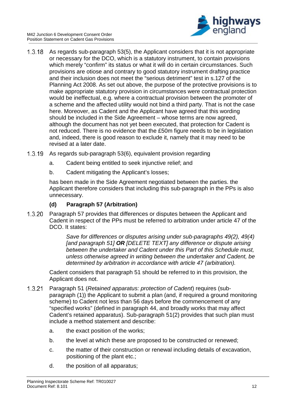

- $1.3.18$ As regards sub-paragraph 53(5), the Applicant considers that it is not appropriate or necessary for the DCO, which is a statutory instrument, to contain provisions which merely "confirm" its status or what it will do in certain circumstances. Such provisions are otiose and contrary to good statutory instrument drafting practice and their inclusion does not meet the "serious detriment" test in s.127 of the Planning Act 2008. As set out above, the purpose of the protective provisions is to make appropriate statutory provision in circumstances were contractual protection would be ineffectual, e.g. where a contractual provision between the promoter of a scheme and the affected utility would not bind a third party. That is not the case here. Moreover, as Cadent and the Applicant have agreed that this wording should be included in the Side Agreement – whose terms are now agreed, although the document has not yet been executed, that protection for Cadent is not reduced. There is no evidence that the £50m figure needs to be in legislation and, indeed, there is good reason to exclude it, namely that it may need to be revised at a later date.
- $1.3.19$ As regards sub-paragraph 53(6), equivalent provision regarding
	- a. Cadent being entitled to seek injunctive relief; and
	- b. Cadent mitigating the Applicant's losses;

has been made in the Side Agreement negotiated between the parties. the Applicant therefore considers that including this sub-paragraph in the PPs is also unnecessary.

#### **(d) Paragraph 57 (Arbitration)**

Paragraph 57 provides that differences or disputes between the Applicant and  $1.3.20$ Cadent in respect of the PPs must be referred to arbitration under article 47 of the DCO. It states:

> *Save for differences or disputes arising under sub-paragraphs 49(2), 49(4) [and paragraph 51] OR [DELETE TEXT] any difference or dispute arising between the undertaker and Cadent under this Part of this Schedule must, unless otherwise agreed in writing between the undertaker and Cadent, be determined by arbitration in accordance with article 47 (arbitration).*

Cadent considers that paragraph 51 should be referred to in this provision, the Applicant does not.

- $1.3.21$ Paragraph 51 (*Retained apparatus: protection of Cadent*) requires (subparagraph (1)) the Applicant to submit a plan (and, if required a ground monitoring scheme) to Cadent not less than 56 days before the commencement of any "specified works" (defined in paragraph 44, and broadly works that may affect Cadent's retained apparatus). Sub-paragraph 51(2) provides that such plan must include a method statement and describe:
	- a. the exact position of the works;
	- b. the level at which these are proposed to be constructed or renewed;
	- c. the matter of their construction or renewal including details of excavation, positioning of the plant etc.;
	- d. the position of all apparatus;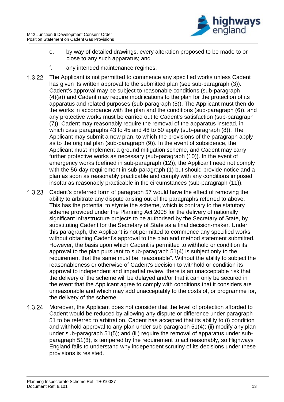

- e. by way of detailed drawings, every alteration proposed to be made to or close to any such apparatus; and
- f. any intended maintenance regimes.
- $1.3.22$ The Applicant is not permitted to commence any specified works unless Cadent has given its written approval to the submitted plan (see sub-paragraph (3)). Cadent's approval may be subject to reasonable conditions (sub-paragraph (4)(a)) and Cadent may require modifications to the plan for the protection of its apparatus and related purposes (sub-paragraph (5)). The Applicant must then do the works in accordance with the plan and the conditions (sub-paragraph (6)), and any protective works must be carried out to Cadent's satisfaction (sub-paragraph (7)). Cadent may reasonably require the removal of the apparatus instead, in which case paragraphs 43 to 45 and 48 to 50 apply (sub-paragraph (8)). The Applicant may submit a new plan, to which the provisions of the paragraph apply as to the original plan (sub-paragraph (9)). In the event of subsidence, the Applicant must implement a ground mitigation scheme, and Cadent may carry further protective works as necessary (sub-paragraph (10)). In the event of emergency works (defined in sub-paragraph (12)), the Applicant need not comply with the 56-day requirement in sub-paragraph (1) but should provide notice and a plan as soon as reasonably practicable and comply with any conditions imposed insofar as reasonably practicable in the circumstances (sub-paragraph (11)).
- $1.3.23$ Cadent's preferred form of paragraph 57 would have the effect of removing the ability to arbitrate any dispute arising out of the paragraphs referred to above. This has the potential to stymie the scheme, which is contrary to the statutory scheme provided under the Planning Act 2008 for the delivery of nationally significant infrastructure projects to be authorised by the Secretary of State, by substituting Cadent for the Secretary of State as a final decision-maker. Under this paragraph, the Applicant is not permitted to commence any specified works without obtaining Cadent's approval to the plan and method statement submitted. However, the basis upon which Cadent is permitted to withhold or condition its approval to the plan pursuant to sub-paragraph 51(4) is subject only to the requirement that the same must be "reasonable". Without the ability to subject the reasonableness or otherwise of Cadent's decision to withhold or condition its approval to independent and impartial review, there is an unacceptable risk that the delivery of the scheme will be delayed and/or that it can only be secured in the event that the Applicant agree to comply with conditions that it considers are unreasonable and which may add unacceptably to the costs of, or programme for, the delivery of the scheme.
- Moreover, the Applicant does not consider that the level of protection afforded to  $1.3.24$ Cadent would be reduced by allowing any dispute or difference under paragraph 51 to be referred to arbitration. Cadent has accepted that its ability to (i) condition and withhold approval to any plan under sub-paragraph 51(4); (ii) modify any plan under sub-paragraph 51(5); and (iii) require the removal of apparatus under subparagraph 51(8), is tempered by the requirement to act reasonably, so Highways England fails to understand why independent scrutiny of its decisions under these provisions is resisted.